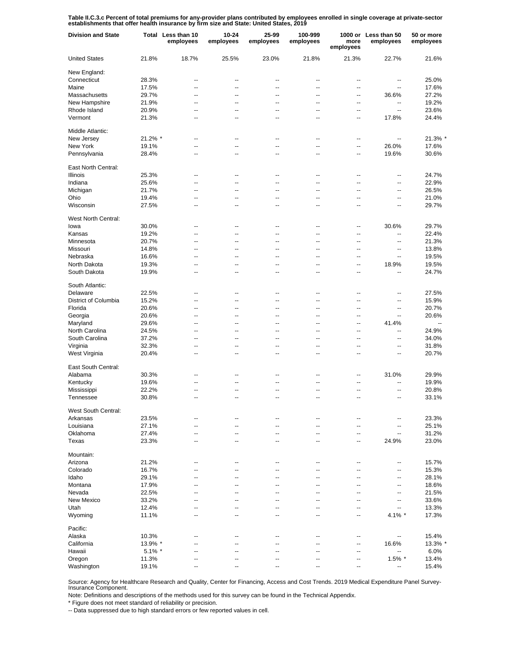Table II.C.3.c Percent of total premiums for any-provider plans contributed by employees enrolled in single coverage at private-sector<br>establishments that offer health insurance by firm size and State: United States, 2019

| <b>Division and State</b>  |           | Total Less than 10<br>employees | 10-24<br>employees | 25-99<br>employees | 100-999<br>employees | more<br>employees        | 1000 or Less than 50<br>employees | 50 or more<br>employees |
|----------------------------|-----------|---------------------------------|--------------------|--------------------|----------------------|--------------------------|-----------------------------------|-------------------------|
| <b>United States</b>       | 21.8%     | 18.7%                           | 25.5%              | 23.0%              | 21.8%                | 21.3%                    | 22.7%                             | 21.6%                   |
| New England:               |           |                                 |                    |                    |                      |                          |                                   |                         |
| Connecticut                | 28.3%     | --                              | --                 | ٠.                 | --                   | --                       | --                                | 25.0%                   |
| Maine                      | 17.5%     | $\overline{a}$                  | --                 | $\overline{a}$     | $\overline{a}$       | $\overline{a}$           | ٠.                                | 17.6%                   |
| Massachusetts              | 29.7%     | $\overline{a}$                  | --                 | $\overline{a}$     | $\overline{a}$       | $\overline{a}$           | 36.6%                             | 27.2%                   |
| New Hampshire              | 21.9%     | --                              | --                 | ٠.                 | --                   | --                       | --                                | 19.2%                   |
| Rhode Island               | 20.9%     | $\overline{a}$                  | --                 | $\overline{a}$     | $\overline{a}$       | $\overline{a}$           | $\overline{a}$                    | 23.6%                   |
| Vermont                    | 21.3%     | --                              | --                 | ٠.                 | --                   | --                       | 17.8%                             | 24.4%                   |
| Middle Atlantic:           |           |                                 |                    |                    |                      |                          |                                   |                         |
| New Jersey                 | 21.2% *   | $\overline{a}$                  | --                 | $\overline{a}$     | $\overline{a}$       | $\overline{a}$           | --                                | 21.3% *                 |
| New York                   | 19.1%     | $\overline{a}$                  | Ξ.                 | Ξ.                 | Ξ.                   | $\overline{\phantom{a}}$ | 26.0%                             | 17.6%                   |
| Pennsylvania               | 28.4%     | $\overline{a}$                  | --                 | $\overline{a}$     | $\overline{a}$       | $\overline{\phantom{a}}$ | 19.6%                             | 30.6%                   |
| East North Central:        |           |                                 |                    |                    |                      |                          |                                   |                         |
| Illinois                   | 25.3%     | --                              | --                 | --                 | --                   | --                       | --                                | 24.7%                   |
| Indiana                    | 25.6%     | --                              | --                 | ٠.                 | --                   | --                       | --                                | 22.9%                   |
| Michigan                   | 21.7%     | --                              | --                 | ٠.                 | --                   | --                       | --                                | 26.5%                   |
| Ohio                       | 19.4%     | --                              | --                 | --                 | --                   | --                       | --                                | 21.0%                   |
| Wisconsin                  | 27.5%     | $\overline{a}$                  | --                 | $\overline{a}$     | $\overline{a}$       | $\overline{a}$           | --                                | 29.7%                   |
| <b>West North Central:</b> |           |                                 |                    |                    |                      |                          |                                   |                         |
| lowa                       | 30.0%     | $\overline{a}$                  | --                 | ٠.                 | --                   | --                       | 30.6%                             | 29.7%                   |
| Kansas                     | 19.2%     | $\overline{a}$                  | --                 | $\overline{a}$     | $\overline{a}$       | --                       | --                                | 22.4%                   |
|                            |           |                                 |                    |                    |                      |                          |                                   |                         |
| Minnesota                  | 20.7%     | $\overline{a}$                  | --                 | $\overline{a}$     | $\overline{a}$       | $\overline{a}$           | $\overline{a}$                    | 21.3%                   |
| Missouri                   | 14.8%     | --                              | --                 | --                 | --                   | $\overline{a}$           | --                                | 13.8%                   |
| Nebraska                   | 16.6%     | $\overline{a}$                  | --                 | $\overline{a}$     | $\overline{a}$       | $\overline{a}$           | $\overline{a}$                    | 19.5%                   |
| North Dakota               | 19.3%     | --                              | --                 | ٠.                 | --                   | --                       | 18.9%                             | 19.5%                   |
| South Dakota               | 19.9%     | $\overline{a}$                  | --                 | $\overline{a}$     | $\overline{a}$       | ц.                       | $\overline{a}$                    | 24.7%                   |
| South Atlantic:            |           |                                 |                    |                    |                      |                          |                                   |                         |
| Delaware                   | 22.5%     | $\overline{a}$                  | --                 | $\overline{a}$     | $\overline{a}$       | $\overline{a}$           | ٠.                                | 27.5%                   |
| District of Columbia       | 15.2%     | $\overline{a}$                  | Ξ.                 | Ξ.                 | Ξ.                   | $\overline{a}$           | Ξ.                                | 15.9%                   |
| Florida                    | 20.6%     | $\overline{a}$                  | --                 | $\overline{a}$     | $\overline{a}$       | $\overline{a}$           | Ξ.                                | 20.7%                   |
| Georgia                    | 20.6%     | $\overline{a}$                  | --                 | $\overline{a}$     | $\overline{a}$       | $\overline{a}$           | Ξ.                                | 20.6%                   |
| Maryland                   | 29.6%     | $\overline{a}$                  | --                 | $\overline{a}$     | $\overline{a}$       | $\overline{a}$           | 41.4%                             | $\overline{a}$          |
| North Carolina             | 24.5%     | $\overline{a}$                  | --                 | $\overline{a}$     | $\overline{a}$       | $\overline{a}$           | ц,                                | 24.9%                   |
| South Carolina             | 37.2%     | $\overline{a}$                  | --                 | $\overline{a}$     | $\overline{a}$       | $\overline{a}$           | $\overline{a}$                    | 34.0%                   |
| Virginia                   | 32.3%     | $\overline{a}$                  | --                 | $\overline{a}$     | $\overline{a}$       | $\overline{a}$           | $\overline{a}$                    | 31.8%                   |
| West Virginia              | 20.4%     | $\overline{a}$                  | --                 | $\overline{a}$     | $\overline{a}$       | $\overline{a}$           | $\overline{a}$                    | 20.7%                   |
| East South Central:        |           |                                 |                    |                    |                      |                          |                                   |                         |
|                            |           |                                 |                    |                    |                      |                          | 31.0%                             |                         |
| Alabama                    | 30.3%     | --                              | --                 | ٠.                 | --                   | --                       |                                   | 29.9%                   |
| Kentucky                   | 19.6%     | $\overline{a}$                  | --                 | $\overline{a}$     | $\overline{a}$       | --                       | --                                | 19.9%                   |
| Mississippi                | 22.2%     | --                              | --                 | --                 | --                   | --                       | --                                | 20.8%                   |
| Tennessee                  | 30.8%     | $\overline{a}$                  | --                 | $\overline{a}$     | $\overline{a}$       | --                       | --                                | 33.1%                   |
| West South Central:        |           |                                 |                    |                    |                      |                          |                                   |                         |
| Arkansas                   | 23.5%     | --                              | --                 | --                 | --                   | --                       | --                                | 23.3%                   |
| Louisiana                  | 27.1%     | --                              | --                 | ٠.                 | --                   | --                       | ۰.                                | 25.1%                   |
| Oklahoma                   | 27.4%     | --                              | --                 | --                 | --                   | --                       | --                                | 31.2%                   |
| Texas                      | 23.3%     | --                              | --                 | --                 | --                   | --                       | 24.9%                             | 23.0%                   |
| Mountain:                  |           |                                 |                    |                    |                      |                          |                                   |                         |
| Arizona                    | 21.2%     | $\overline{a}$                  | --                 | $\overline{a}$     | $\overline{a}$       | ä.                       | --                                | 15.7%                   |
| Colorado                   | 16.7%     | $\overline{a}$                  | --                 | $\overline{a}$     | $\overline{a}$       | $\overline{a}$           | --                                | 15.3%                   |
| Idaho                      | 29.1%     | --                              | --                 | --                 | $\overline{a}$       | --                       | $\overline{a}$                    | 28.1%                   |
| Montana                    | 17.9%     | --                              | --                 | $\overline{a}$     | $\overline{a}$       | $\overline{a}$           | --                                | 18.6%                   |
| Nevada                     | 22.5%     | --                              | --                 | --                 | --                   | --                       | $\overline{a}$                    | 21.5%                   |
| New Mexico                 |           | --                              | --                 | --                 | --                   | --                       | $\overline{a}$                    |                         |
|                            | 33.2%     |                                 |                    |                    |                      |                          |                                   | 33.6%                   |
| Utah                       | 12.4%     | --                              | --                 | $\overline{a}$     | $\overline{a}$       | $\overline{a}$           | --                                | 13.3%                   |
| Wyoming                    | 11.1%     | $\overline{a}$                  | --                 | $\overline{a}$     | $\overline{a}$       | ä.                       | 4.1% *                            | 17.3%                   |
| Pacific:                   |           |                                 |                    |                    |                      |                          |                                   |                         |
| Alaska                     | 10.3%     | --                              | --                 | ٠.                 | --                   | --                       | --                                | 15.4%                   |
| California                 | 13.9% *   | ۵.                              | -−                 | ц.                 | ۵.                   | --                       | 16.6%                             | 13.3% *                 |
| Hawaii                     | $5.1\%$ * | --                              | --                 | --                 | --                   | --                       | --                                | 6.0%                    |
| Oregon                     | 11.3%     | --                              | --                 | --                 | --                   | --                       | $1.5\%$ *                         | 13.4%                   |
| Washington                 | 19.1%     | --                              | --                 | --                 | --                   | --                       | --                                | 15.4%                   |

Source: Agency for Healthcare Research and Quality, Center for Financing, Access and Cost Trends. 2019 Medical Expenditure Panel Survey-Insurance Component.

Note: Definitions and descriptions of the methods used for this survey can be found in the Technical Appendix.

\* Figure does not meet standard of reliability or precision.

-- Data suppressed due to high standard errors or few reported values in cell.